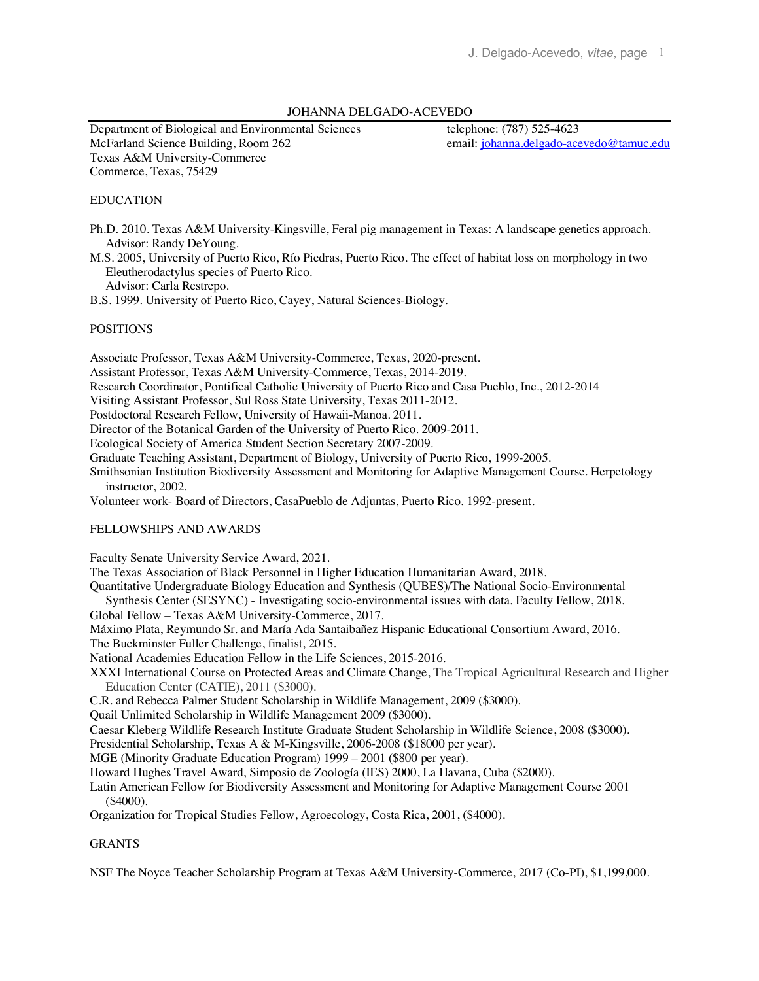# JOHANNA DELGADO-ACEVEDO

Department of Biological and Environmental Sciences telephone: (787) 525-4623 McFarland Science Building, Room 262 email: johanna.delgado-acevedo@tamuc.edu Texas A&M University-Commerce Commerce, Texas, 75429

## EDUCATION

Ph.D. 2010. Texas A&M University-Kingsville, Feral pig management in Texas: A landscape genetics approach. Advisor: Randy DeYoung.

M.S. 2005, University of Puerto Rico, Río Piedras, Puerto Rico. The effect of habitat loss on morphology in two Eleutherodactylus species of Puerto Rico.

Advisor: Carla Restrepo.

B.S. 1999. University of Puerto Rico, Cayey, Natural Sciences-Biology.

## POSITIONS

Associate Professor, Texas A&M University-Commerce, Texas, 2020-present.

Assistant Professor, Texas A&M University-Commerce, Texas, 2014-2019.

Research Coordinator, Pontifical Catholic University of Puerto Rico and Casa Pueblo, Inc., 2012-2014

Visiting Assistant Professor, Sul Ross State University, Texas 2011-2012.

Postdoctoral Research Fellow, University of Hawaii-Manoa. 2011.

Director of the Botanical Garden of the University of Puerto Rico. 2009-2011.

Ecological Society of America Student Section Secretary 2007-2009.

Graduate Teaching Assistant, Department of Biology, University of Puerto Rico, 1999-2005.

Smithsonian Institution Biodiversity Assessment and Monitoring for Adaptive Management Course. Herpetology instructor, 2002.

Volunteer work- Board of Directors, CasaPueblo de Adjuntas, Puerto Rico. 1992-present.

#### FELLOWSHIPS AND AWARDS

Faculty Senate University Service Award, 2021.

The Texas Association of Black Personnel in Higher Education Humanitarian Award, 2018.

Quantitative Undergraduate Biology Education and Synthesis (QUBES)/The National Socio-Environmental

 Synthesis Center (SESYNC) - Investigating socio-environmental issues with data. Faculty Fellow, 2018. Global Fellow – Texas A&M University-Commerce, 2017.

Máximo Plata, Reymundo Sr. and María Ada Santaibañez Hispanic Educational Consortium Award, 2016.

The Buckminster Fuller Challenge, finalist, 2015.

National Academies Education Fellow in the Life Sciences, 2015-2016.

XXXI International Course on Protected Areas and Climate Change, The Tropical Agricultural Research and Higher Education Center (CATIE), 2011 (\$3000).

C.R. and Rebecca Palmer Student Scholarship in Wildlife Management, 2009 (\$3000).

Quail Unlimited Scholarship in Wildlife Management 2009 (\$3000).

Caesar Kleberg Wildlife Research Institute Graduate Student Scholarship in Wildlife Science, 2008 (\$3000).

Presidential Scholarship, Texas A & M-Kingsville, 2006-2008 (\$18000 per year).

MGE (Minority Graduate Education Program) 1999 – 2001 (\$800 per year).

Howard Hughes Travel Award, Simposio de Zoología (IES) 2000, La Havana, Cuba (\$2000).

Latin American Fellow for Biodiversity Assessment and Monitoring for Adaptive Management Course 2001 (\$4000).

Organization for Tropical Studies Fellow, Agroecology, Costa Rica, 2001, (\$4000).

# GRANTS

NSF The Noyce Teacher Scholarship Program at Texas A&M University-Commerce, 2017 (Co-PI), \$1,199,000.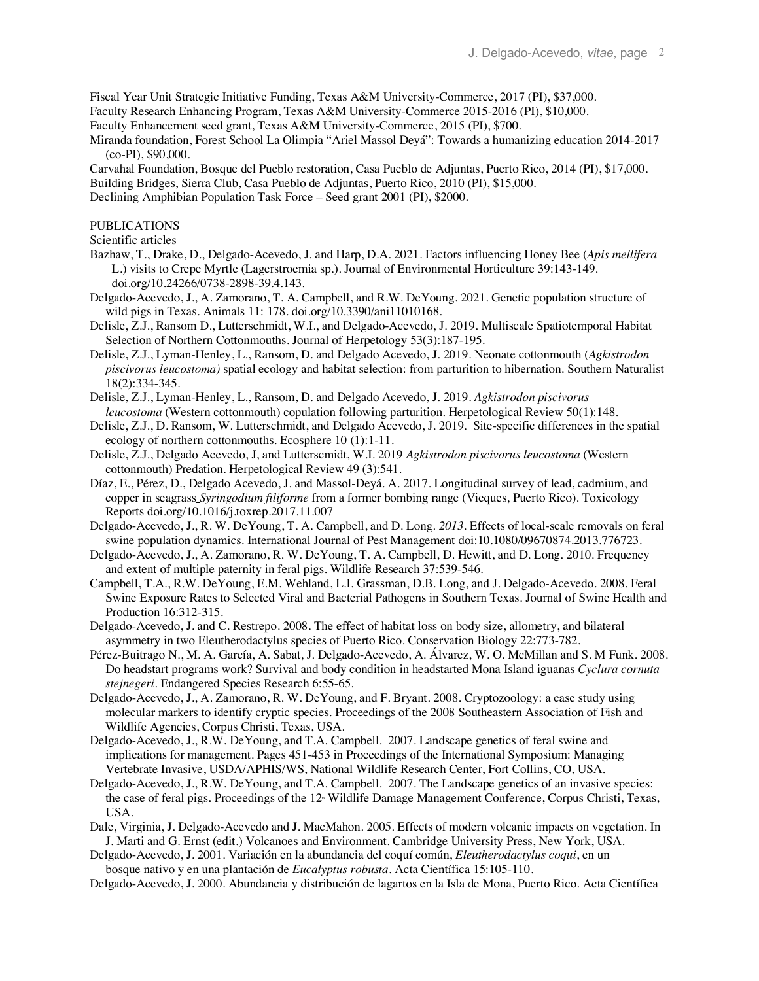Fiscal Year Unit Strategic Initiative Funding, Texas A&M University-Commerce, 2017 (PI), \$37,000.

Faculty Research Enhancing Program, Texas A&M University-Commerce 2015-2016 (PI), \$10,000.

Faculty Enhancement seed grant, Texas A&M University-Commerce, 2015 (PI), \$700.

Miranda foundation, Forest School La Olimpia "Ariel Massol Deyá": Towards a humanizing education 2014-2017 (co-PI), \$90,000.

Carvahal Foundation, Bosque del Pueblo restoration, Casa Pueblo de Adjuntas, Puerto Rico, 2014 (PI), \$17,000. Building Bridges, Sierra Club, Casa Pueblo de Adjuntas, Puerto Rico, 2010 (PI), \$15,000. Declining Amphibian Population Task Force – Seed grant 2001 (PI), \$2000.

# PUBLICATIONS

Scientific articles

- Bazhaw, T., Drake, D., Delgado-Acevedo, J. and Harp, D.A. 2021. Factors influencing Honey Bee (*Apis mellifera* L.) visits to Crepe Myrtle (Lagerstroemia sp.). Journal of Environmental Horticulture 39:143-149. doi.org/10.24266/0738-2898-39.4.143.
- Delgado-Acevedo, J., A. Zamorano, T. A. Campbell, and R.W. DeYoung. 2021. Genetic population structure of wild pigs in Texas. Animals 11: 178. doi.org/10.3390/ani11010168.
- Delisle, Z.J., Ransom D., Lutterschmidt, W.I., and Delgado-Acevedo, J. 2019. Multiscale Spatiotemporal Habitat Selection of Northern Cottonmouths. Journal of Herpetology 53(3):187-195.
- Delisle, Z.J., Lyman-Henley, L., Ransom, D. and Delgado Acevedo, J. 2019. Neonate cottonmouth (*Agkistrodon piscivorus leucostoma)* spatial ecology and habitat selection: from parturition to hibernation. Southern Naturalist 18(2):334-345.
- Delisle, Z.J., Lyman-Henley, L., Ransom, D. and Delgado Acevedo, J. 2019. *Agkistrodon piscivorus leucostoma* (Western cottonmouth) copulation following parturition. Herpetological Review 50(1):148.
- Delisle, Z.J., D. Ransom, W. Lutterschmidt, and Delgado Acevedo, J. 2019. Site-specific differences in the spatial ecology of northern cottonmouths. Ecosphere 10 (1):1-11.
- Delisle, Z.J., Delgado Acevedo, J, and Lutterscmidt, W.I. 2019 *Agkistrodon piscivorus leucostoma* (Western cottonmouth) Predation. Herpetological Review 49 (3):541.
- Díaz, E., Pérez, D., Delgado Acevedo, J. and Massol-Deyá. A. 2017. Longitudinal survey of lead, cadmium, and copper in seagrass *Syringodium filiforme* from a former bombing range (Vieques, Puerto Rico). Toxicology Reports doi.org/10.1016/j.toxrep.2017.11.007
- Delgado-Acevedo, J., R. W. DeYoung, T. A. Campbell, and D. Long. *2013*. Effects of local-scale removals on feral swine population dynamics. International Journal of Pest Management doi:10.1080/09670874.2013.776723.
- Delgado-Acevedo, J., A. Zamorano, R. W. DeYoung, T. A. Campbell, D. Hewitt, and D. Long. 2010. Frequency and extent of multiple paternity in feral pigs. Wildlife Research 37:539-546.
- Campbell, T.A., R.W. DeYoung, E.M. Wehland, L.I. Grassman, D.B. Long, and J. Delgado-Acevedo. 2008. Feral Swine Exposure Rates to Selected Viral and Bacterial Pathogens in Southern Texas. Journal of Swine Health and Production 16:312-315.
- Delgado-Acevedo, J. and C. Restrepo. 2008. The effect of habitat loss on body size, allometry, and bilateral asymmetry in two Eleutherodactylus species of Puerto Rico. Conservation Biology 22:773-782.
- Pérez-Buitrago N., M. A. García, A. Sabat, J. Delgado-Acevedo, A. Álvarez, W. O. McMillan and S. M Funk. 2008. Do headstart programs work? Survival and body condition in headstarted Mona Island iguanas *Cyclura cornuta stejnegeri.* Endangered Species Research 6:55-65.
- Delgado-Acevedo, J., A. Zamorano, R. W. DeYoung, and F. Bryant. 2008*.* Cryptozoology: a case study using molecular markers to identify cryptic species. Proceedings of the 2008 Southeastern Association of Fish and Wildlife Agencies, Corpus Christi, Texas, USA.
- Delgado-Acevedo, J., R.W. DeYoung, and T.A. Campbell. 2007. Landscape genetics of feral swine and implications for management. Pages 451-453 in Proceedings of the International Symposium: Managing Vertebrate Invasive, USDA/APHIS/WS, National Wildlife Research Center, Fort Collins, CO, USA.
- Delgado-Acevedo, J., R.W. DeYoung, and T.A. Campbell. 2007. The Landscape genetics of an invasive species: the case of feral pigs. Proceedings of the 12<sup>\*</sup> Wildlife Damage Management Conference, Corpus Christi, Texas, USA.
- Dale, Virginia, J. Delgado-Acevedo and J. MacMahon. 2005. Effects of modern volcanic impacts on vegetation. In J. Marti and G. Ernst (edit.) Volcanoes and Environment. Cambridge University Press, New York, USA.

Delgado-Acevedo, J. 2001. Variación en la abundancia del coquí común, *Eleutherodactylus coqui*, en un bosque nativo y en una plantación de *Eucalyptus robusta*. Acta Científica 15:105-110.

Delgado-Acevedo, J. 2000. Abundancia y distribución de lagartos en la Isla de Mona, Puerto Rico. Acta Científica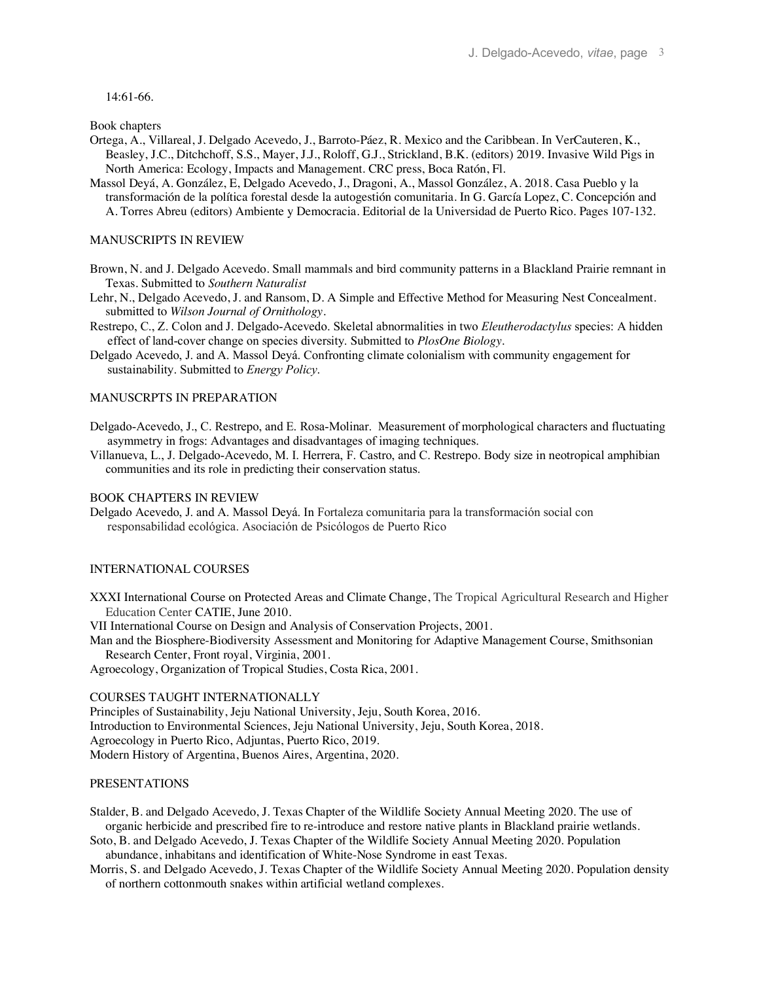14:61-66.

Book chapters

- Ortega, A., Villareal, J. Delgado Acevedo, J., Barroto-Páez, R. Mexico and the Caribbean*.* In VerCauteren, K., Beasley, J.C., Ditchchoff, S.S., Mayer, J.J., Roloff, G.J., Strickland, B.K. (editors) 2019. Invasive Wild Pigs in North America: Ecology, Impacts and Management. CRC press, Boca Ratón, Fl.
- Massol Deyá, A. González, E, Delgado Acevedo, J., Dragoni, A., Massol González, A. 2018. Casa Pueblo y la transformación de la política forestal desde la autogestión comunitaria. In G. García Lopez, C. Concepción and A. Torres Abreu (editors) Ambiente y Democracia. Editorial de la Universidad de Puerto Rico. Pages 107-132.

## MANUSCRIPTS IN REVIEW

- Brown, N. and J. Delgado Acevedo. Small mammals and bird community patterns in a Blackland Prairie remnant in Texas. Submitted to *Southern Naturalist*
- Lehr, N., Delgado Acevedo, J. and Ransom, D. A Simple and Effective Method for Measuring Nest Concealment. submitted to *Wilson Journal of Ornithology.*
- Restrepo, C., Z. Colon and J. Delgado-Acevedo. Skeletal abnormalities in two *Eleutherodactylus* species: A hidden effect of land-cover change on species diversity. Submitted to *PlosOne Biology.*
- Delgado Acevedo, J. and A. Massol Deyá. Confronting climate colonialism with community engagement for sustainability. Submitted to *Energy Policy*.

# MANUSCRPTS IN PREPARATION

- Delgado-Acevedo, J., C. Restrepo, and E. Rosa-Molinar. Measurement of morphological characters and fluctuating asymmetry in frogs: Advantages and disadvantages of imaging techniques.
- Villanueva, L., J. Delgado-Acevedo, M. I. Herrera, F. Castro, and C. Restrepo. Body size in neotropical amphibian communities and its role in predicting their conservation status.

# BOOK CHAPTERS IN REVIEW

Delgado Acevedo, J. and A. Massol Deyá. In Fortaleza comunitaria para la transformación social con responsabilidad ecológica. Asociación de Psicólogos de Puerto Rico

#### INTERNATIONAL COURSES

XXXI International Course on Protected Areas and Climate Change, The Tropical Agricultural Research and Higher Education Center CATIE, June 2010.

VII International Course on Design and Analysis of Conservation Projects, 2001.

Man and the Biosphere-Biodiversity Assessment and Monitoring for Adaptive Management Course, Smithsonian Research Center, Front royal, Virginia, 2001.

Agroecology, Organization of Tropical Studies, Costa Rica, 2001.

#### COURSES TAUGHT INTERNATIONALLY

Principles of Sustainability, Jeju National University, Jeju, South Korea, 2016. Introduction to Environmental Sciences, Jeju National University, Jeju, South Korea, 2018. Agroecology in Puerto Rico, Adjuntas, Puerto Rico, 2019. Modern History of Argentina, Buenos Aires, Argentina, 2020.

# PRESENTATIONS

Stalder, B. and Delgado Acevedo, J. Texas Chapter of the Wildlife Society Annual Meeting 2020. The use of organic herbicide and prescribed fire to re-introduce and restore native plants in Blackland prairie wetlands.

Soto, B. and Delgado Acevedo, J. Texas Chapter of the Wildlife Society Annual Meeting 2020. Population abundance, inhabitans and identification of White-Nose Syndrome in east Texas.

Morris, S. and Delgado Acevedo, J. Texas Chapter of the Wildlife Society Annual Meeting 2020. Population density of northern cottonmouth snakes within artificial wetland complexes.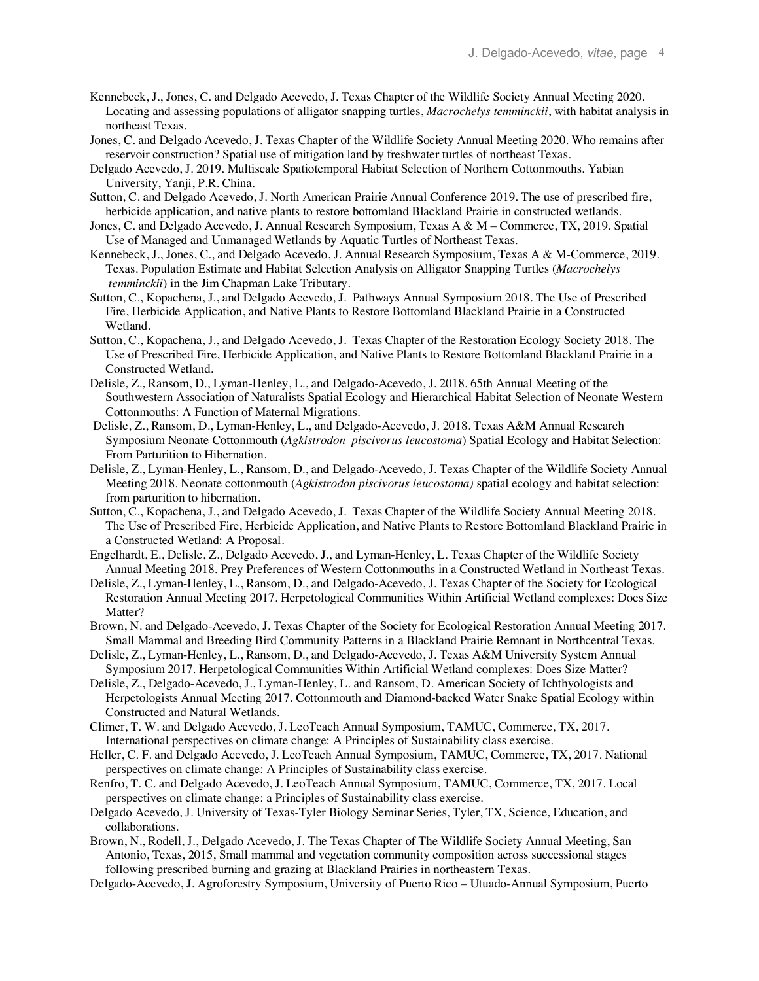- Kennebeck, J., Jones, C. and Delgado Acevedo, J. Texas Chapter of the Wildlife Society Annual Meeting 2020. Locating and assessing populations of alligator snapping turtles, *Macrochelys temminckii*, with habitat analysis in northeast Texas.
- Jones, C. and Delgado Acevedo, J. Texas Chapter of the Wildlife Society Annual Meeting 2020. Who remains after reservoir construction? Spatial use of mitigation land by freshwater turtles of northeast Texas.
- Delgado Acevedo, J. 2019. Multiscale Spatiotemporal Habitat Selection of Northern Cottonmouths. Yabian University, Yanji, P.R. China.
- Sutton, C. and Delgado Acevedo, J. North American Prairie Annual Conference 2019. The use of prescribed fire, herbicide application, and native plants to restore bottomland Blackland Prairie in constructed wetlands.
- Jones, C. and Delgado Acevedo, J. Annual Research Symposium, Texas A & M Commerce, TX, 2019. Spatial Use of Managed and Unmanaged Wetlands by Aquatic Turtles of Northeast Texas.
- Kennebeck, J., Jones, C., and Delgado Acevedo, J. Annual Research Symposium, Texas A & M-Commerce, 2019. Texas. Population Estimate and Habitat Selection Analysis on Alligator Snapping Turtles (*Macrochelys temminckii*) in the Jim Chapman Lake Tributary.
- Sutton, C., Kopachena, J., and Delgado Acevedo, J. Pathways Annual Symposium 2018. The Use of Prescribed Fire, Herbicide Application, and Native Plants to Restore Bottomland Blackland Prairie in a Constructed Wetland.
- Sutton, C., Kopachena, J., and Delgado Acevedo, J. Texas Chapter of the Restoration Ecology Society 2018. The Use of Prescribed Fire, Herbicide Application, and Native Plants to Restore Bottomland Blackland Prairie in a Constructed Wetland.
- Delisle, Z., Ransom, D., Lyman-Henley, L., and Delgado-Acevedo, J. 2018. 65th Annual Meeting of the Southwestern Association of Naturalists Spatial Ecology and Hierarchical Habitat Selection of Neonate Western Cottonmouths: A Function of Maternal Migrations.
- Delisle, Z., Ransom, D., Lyman-Henley, L., and Delgado-Acevedo, J. 2018. Texas A&M Annual Research Symposium Neonate Cottonmouth (*Agkistrodon piscivorus leucostoma*) Spatial Ecology and Habitat Selection: From Parturition to Hibernation.
- Delisle, Z., Lyman-Henley, L., Ransom, D., and Delgado-Acevedo, J. Texas Chapter of the Wildlife Society Annual Meeting 2018. Neonate cottonmouth (*Agkistrodon piscivorus leucostoma)* spatial ecology and habitat selection: from parturition to hibernation.
- Sutton, C., Kopachena, J., and Delgado Acevedo, J. Texas Chapter of the Wildlife Society Annual Meeting 2018. The Use of Prescribed Fire, Herbicide Application, and Native Plants to Restore Bottomland Blackland Prairie in a Constructed Wetland: A Proposal.
- Engelhardt, E., Delisle, Z., Delgado Acevedo, J., and Lyman-Henley, L. Texas Chapter of the Wildlife Society Annual Meeting 2018. Prey Preferences of Western Cottonmouths in a Constructed Wetland in Northeast Texas.
- Delisle, Z., Lyman-Henley, L., Ransom, D., and Delgado-Acevedo, J. Texas Chapter of the Society for Ecological Restoration Annual Meeting 2017. Herpetological Communities Within Artificial Wetland complexes: Does Size Matter?
- Brown, N. and Delgado-Acevedo, J. Texas Chapter of the Society for Ecological Restoration Annual Meeting 2017. Small Mammal and Breeding Bird Community Patterns in a Blackland Prairie Remnant in Northcentral Texas.
- Delisle, Z., Lyman-Henley, L., Ransom, D., and Delgado-Acevedo, J. Texas A&M University System Annual Symposium 2017. Herpetological Communities Within Artificial Wetland complexes: Does Size Matter?
- Delisle, Z., Delgado-Acevedo, J., Lyman-Henley, L. and Ransom, D. American Society of Ichthyologists and Herpetologists Annual Meeting 2017. Cottonmouth and Diamond-backed Water Snake Spatial Ecology within Constructed and Natural Wetlands.
- Climer, T. W. and Delgado Acevedo, J. LeoTeach Annual Symposium, TAMUC, Commerce, TX, 2017. International perspectives on climate change: A Principles of Sustainability class exercise.
- Heller, C. F. and Delgado Acevedo, J. LeoTeach Annual Symposium, TAMUC, Commerce, TX, 2017. National perspectives on climate change: A Principles of Sustainability class exercise.
- Renfro, T. C. and Delgado Acevedo, J. LeoTeach Annual Symposium, TAMUC, Commerce, TX, 2017. Local perspectives on climate change: a Principles of Sustainability class exercise.
- Delgado Acevedo, J. University of Texas-Tyler Biology Seminar Series, Tyler, TX, Science, Education, and collaborations.
- Brown, N., Rodell, J., Delgado Acevedo, J. The Texas Chapter of The Wildlife Society Annual Meeting, San Antonio, Texas, 2015, Small mammal and vegetation community composition across successional stages following prescribed burning and grazing at Blackland Prairies in northeastern Texas.
- Delgado-Acevedo, J. Agroforestry Symposium, University of Puerto Rico Utuado-Annual Symposium, Puerto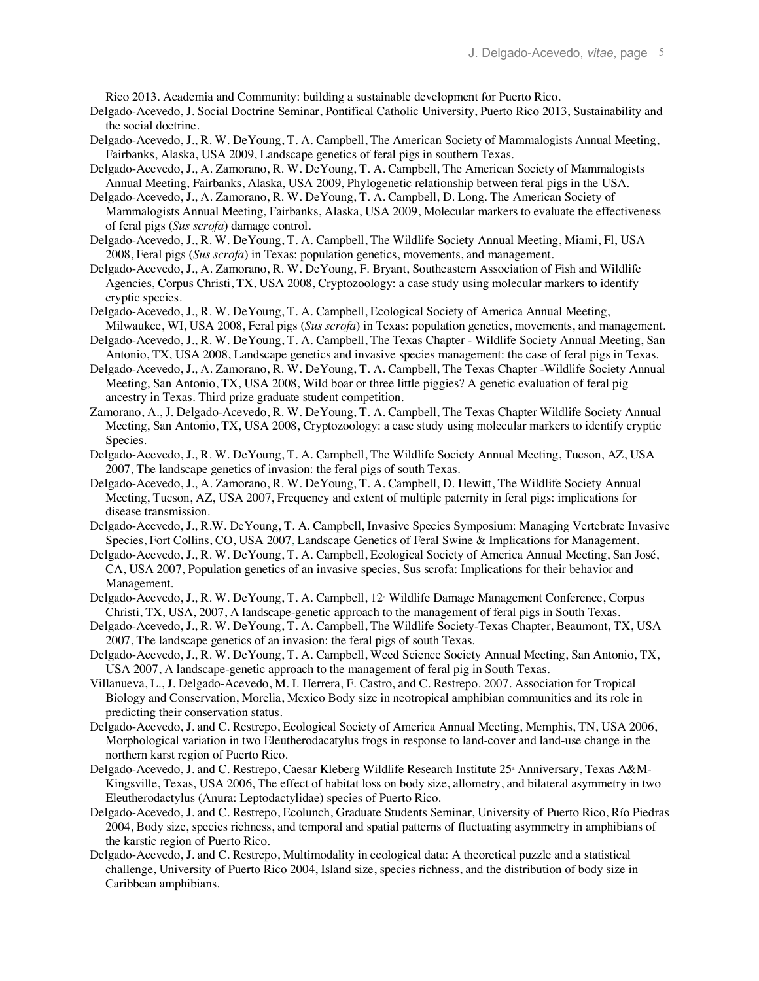Rico 2013. Academia and Community: building a sustainable development for Puerto Rico.

- Delgado-Acevedo, J. Social Doctrine Seminar, Pontifical Catholic University, Puerto Rico 2013, Sustainability and the social doctrine.
- Delgado-Acevedo, J., R. W. DeYoung, T. A. Campbell, The American Society of Mammalogists Annual Meeting, Fairbanks, Alaska, USA 2009, Landscape genetics of feral pigs in southern Texas.
- Delgado-Acevedo, J., A. Zamorano, R. W. DeYoung, T. A. Campbell, The American Society of Mammalogists Annual Meeting, Fairbanks, Alaska, USA 2009, Phylogenetic relationship between feral pigs in the USA.
- Delgado-Acevedo, J., A. Zamorano, R. W. DeYoung, T. A. Campbell, D. Long. The American Society of Mammalogists Annual Meeting, Fairbanks, Alaska, USA 2009, Molecular markers to evaluate the effectiveness of feral pigs (*Sus scrofa*) damage control.
- Delgado-Acevedo, J., R. W. DeYoung, T. A. Campbell, The Wildlife Society Annual Meeting, Miami, Fl, USA 2008, Feral pigs (*Sus scrofa*) in Texas: population genetics, movements, and management.
- Delgado-Acevedo, J., A. Zamorano, R. W. DeYoung, F. Bryant, Southeastern Association of Fish and Wildlife Agencies, Corpus Christi, TX, USA 2008, Cryptozoology: a case study using molecular markers to identify cryptic species.
- Delgado-Acevedo, J., R. W. DeYoung, T. A. Campbell, Ecological Society of America Annual Meeting, Milwaukee, WI, USA 2008, Feral pigs (*Sus scrofa*) in Texas: population genetics, movements, and management.
- Delgado-Acevedo, J., R. W. DeYoung, T. A. Campbell, The Texas Chapter Wildlife Society Annual Meeting, San Antonio, TX, USA 2008, Landscape genetics and invasive species management: the case of feral pigs in Texas.
- Delgado-Acevedo, J., A. Zamorano, R. W. DeYoung, T. A. Campbell, The Texas Chapter -Wildlife Society Annual Meeting, San Antonio, TX, USA 2008, Wild boar or three little piggies? A genetic evaluation of feral pig ancestry in Texas. Third prize graduate student competition.
- Zamorano, A., J. Delgado-Acevedo, R. W. DeYoung, T. A. Campbell, The Texas Chapter Wildlife Society Annual Meeting, San Antonio, TX, USA 2008, Cryptozoology: a case study using molecular markers to identify cryptic Species.
- Delgado-Acevedo, J., R. W. DeYoung, T. A. Campbell, The Wildlife Society Annual Meeting, Tucson, AZ, USA 2007, The landscape genetics of invasion: the feral pigs of south Texas.
- Delgado-Acevedo, J., A. Zamorano, R. W. DeYoung, T. A. Campbell, D. Hewitt, The Wildlife Society Annual Meeting, Tucson, AZ, USA 2007, Frequency and extent of multiple paternity in feral pigs: implications for disease transmission.
- Delgado-Acevedo, J., R.W. DeYoung, T. A. Campbell, Invasive Species Symposium: Managing Vertebrate Invasive Species, Fort Collins, CO, USA 2007, Landscape Genetics of Feral Swine & Implications for Management.
- Delgado-Acevedo, J., R. W. DeYoung, T. A. Campbell, Ecological Society of America Annual Meeting, San José, CA, USA 2007, Population genetics of an invasive species, Sus scrofa: Implications for their behavior and Management.
- Delgado-Acevedo, J., R. W. DeYoung, T. A. Campbell, 12<sup>th</sup> Wildlife Damage Management Conference, Corpus Christi, TX, USA, 2007, A landscape-genetic approach to the management of feral pigs in South Texas.
- Delgado-Acevedo, J., R. W. DeYoung, T. A. Campbell, The Wildlife Society-Texas Chapter, Beaumont, TX, USA 2007, The landscape genetics of an invasion: the feral pigs of south Texas.
- Delgado-Acevedo, J., R. W. DeYoung, T. A. Campbell, Weed Science Society Annual Meeting, San Antonio, TX, USA 2007, A landscape-genetic approach to the management of feral pig in South Texas.
- Villanueva, L., J. Delgado-Acevedo, M. I. Herrera, F. Castro, and C. Restrepo. 2007. Association for Tropical Biology and Conservation, Morelia, Mexico Body size in neotropical amphibian communities and its role in predicting their conservation status.
- Delgado-Acevedo, J. and C. Restrepo, Ecological Society of America Annual Meeting, Memphis, TN, USA 2006, Morphological variation in two Eleutherodacatylus frogs in response to land-cover and land-use change in the northern karst region of Puerto Rico.
- Delgado-Acevedo, J. and C. Restrepo, Caesar Kleberg Wildlife Research Institute 25<sup>\*</sup> Anniversary, Texas A&M- Kingsville, Texas, USA 2006, The effect of habitat loss on body size, allometry, and bilateral asymmetry in two Eleutherodactylus (Anura: Leptodactylidae) species of Puerto Rico.
- Delgado-Acevedo, J. and C. Restrepo, Ecolunch, Graduate Students Seminar, University of Puerto Rico, Río Piedras 2004, Body size, species richness, and temporal and spatial patterns of fluctuating asymmetry in amphibians of the karstic region of Puerto Rico.
- Delgado-Acevedo, J. and C. Restrepo, Multimodality in ecological data: A theoretical puzzle and a statistical challenge, University of Puerto Rico 2004, Island size, species richness, and the distribution of body size in Caribbean amphibians.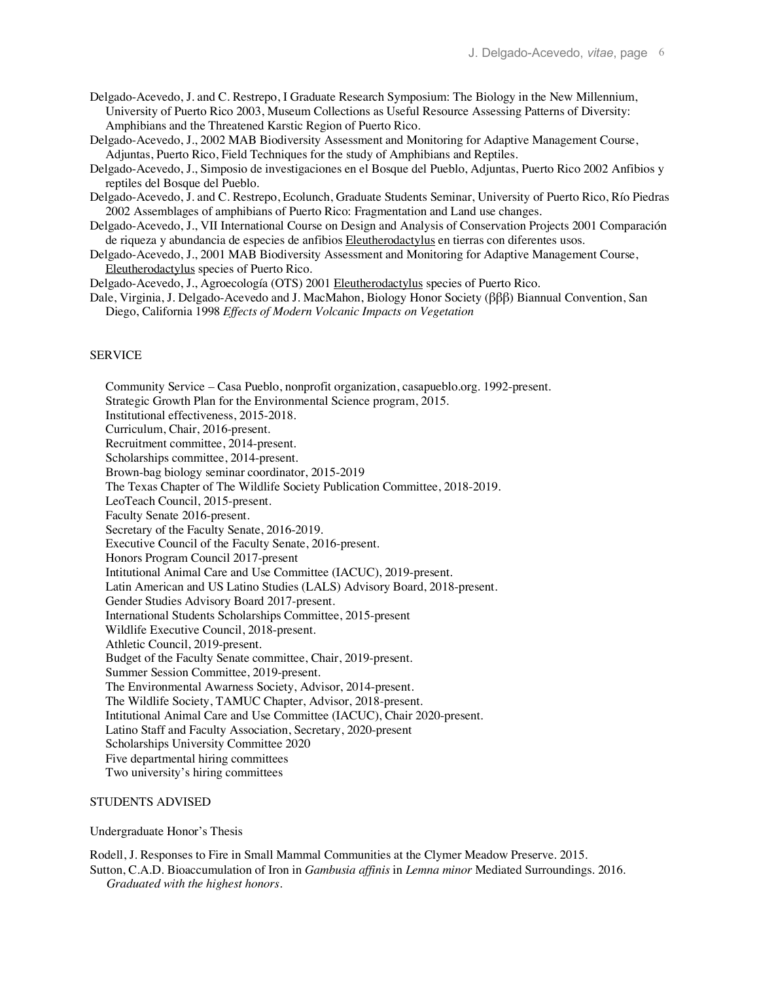- Delgado-Acevedo, J. and C. Restrepo, I Graduate Research Symposium: The Biology in the New Millennium, University of Puerto Rico 2003, Museum Collections as Useful Resource Assessing Patterns of Diversity: Amphibians and the Threatened Karstic Region of Puerto Rico.
- Delgado-Acevedo, J., 2002 MAB Biodiversity Assessment and Monitoring for Adaptive Management Course, Adjuntas, Puerto Rico, Field Techniques for the study of Amphibians and Reptiles.
- Delgado-Acevedo, J., Simposio de investigaciones en el Bosque del Pueblo, Adjuntas, Puerto Rico 2002 Anfibios y reptiles del Bosque del Pueblo.
- Delgado-Acevedo, J. and C. Restrepo, Ecolunch, Graduate Students Seminar, University of Puerto Rico, Río Piedras 2002 Assemblages of amphibians of Puerto Rico: Fragmentation and Land use changes.
- Delgado-Acevedo, J., VII International Course on Design and Analysis of Conservation Projects 2001 Comparación de riqueza y abundancia de especies de anfibios Eleutherodactylus en tierras con diferentes usos.
- Delgado-Acevedo, J., 2001 MAB Biodiversity Assessment and Monitoring for Adaptive Management Course, Eleutherodactylus species of Puerto Rico.
- Delgado-Acevedo, J., Agroecología (OTS) 2001 Eleutherodactylus species of Puerto Rico.
- Dale, Virginia, J. Delgado-Acevedo and J. MacMahon, Biology Honor Society (βββ) Biannual Convention, San Diego, California 1998 *Effects of Modern Volcanic Impacts on Vegetation*

### SERVICE

 Community Service – Casa Pueblo, nonprofit organization, casapueblo.org. 1992-present. Strategic Growth Plan for the Environmental Science program, 2015. Institutional effectiveness, 2015-2018. Curriculum, Chair, 2016-present. Recruitment committee, 2014-present. Scholarships committee, 2014-present. Brown-bag biology seminar coordinator, 2015-2019 The Texas Chapter of The Wildlife Society Publication Committee, 2018-2019. LeoTeach Council, 2015-present. Faculty Senate 2016-present. Secretary of the Faculty Senate, 2016-2019. Executive Council of the Faculty Senate, 2016-present. Honors Program Council 2017-present Intitutional Animal Care and Use Committee (IACUC), 2019-present. Latin American and US Latino Studies (LALS) Advisory Board, 2018-present. Gender Studies Advisory Board 2017-present. International Students Scholarships Committee, 2015-present Wildlife Executive Council, 2018-present. Athletic Council, 2019-present. Budget of the Faculty Senate committee, Chair, 2019-present. Summer Session Committee, 2019-present. The Environmental Awarness Society, Advisor, 2014-present. The Wildlife Society, TAMUC Chapter, Advisor, 2018-present. Intitutional Animal Care and Use Committee (IACUC), Chair 2020-present. Latino Staff and Faculty Association, Secretary, 2020-present Scholarships University Committee 2020 Five departmental hiring committees Two university's hiring committees

### STUDENTS ADVISED

Undergraduate Honor's Thesis

Rodell, J. Responses to Fire in Small Mammal Communities at the Clymer Meadow Preserve. 2015.

Sutton, C.A.D. Bioaccumulation of Iron in *Gambusia affinis* in *Lemna minor* Mediated Surroundings. 2016. *Graduated with the highest honors*.